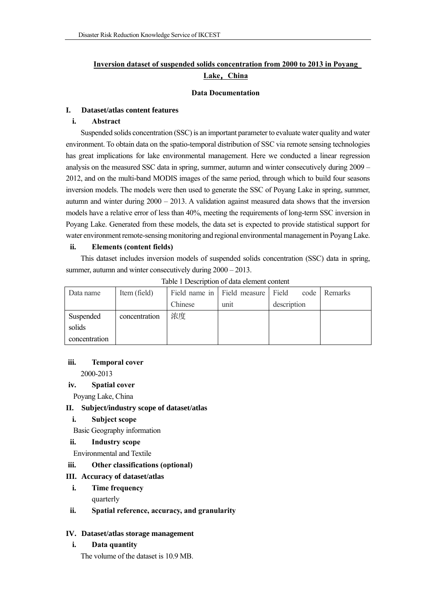# **Inversion dataset of suspended solids concentration from 2000 to 2013 in Poyang Lake**,**China**

#### **Data Documentation**

#### **I. Dataset/atlas content features**

#### **i. Abstract**

Suspended solids concentration (SSC) is an important parameter to evaluate water quality and water environment. To obtain data on the spatio-temporal distribution of SSC via remote sensing technologies has great implications for lake environmental management. Here we conducted a linear regression analysis on the measured SSC data in spring, summer, autumn and winter consecutively during 2009 – 2012, and on the multi-band MODIS images of the same period, through which to build four seasons inversion models. The models were then used to generate the SSC of Poyang Lake in spring, summer, autumn and winter during  $2000 - 2013$ . A validation against measured data shows that the inversion models have a relative error of less than 40%, meeting the requirements of long-term SSC inversion in Poyang Lake. Generated from these models, the data set is expected to provide statistical support for water environment remote-sensing monitoring and regional environmental management in Poyang Lake.

#### **ii. Elements (content fields)**

This dataset includes inversion models of suspended solids concentration (SSC) data in spring, summer, autumn and winter consecutively during 2000 – 2013.

| Data name     | Item (field)  |         | Field name in Field measure Field |             | code Remarks |
|---------------|---------------|---------|-----------------------------------|-------------|--------------|
|               |               | Chinese | unit                              | description |              |
| Suspended     | concentration | 浓度      |                                   |             |              |
| solids        |               |         |                                   |             |              |
| concentration |               |         |                                   |             |              |

Table 1 Description of data element content

#### **iii. Temporal cover**

2000-2013

#### **iv. Spatial cover**

Poyang Lake, China

#### **II. Subject/industry scope of dataset/atlas**

### **i. Subject scope**

Basic Geography information

#### **ii. Industry scope**

Environmental and Textile

## **iii. Other classifications (optional)**

#### **III. Accuracy of dataset/atlas**

**i. Time frequency**

quarterly

**ii. Spatial reference, accuracy, and granularity**

### **IV. Dataset/atlas storage management**

**i. Data quantity**

The volume of the dataset is 10.9 MB.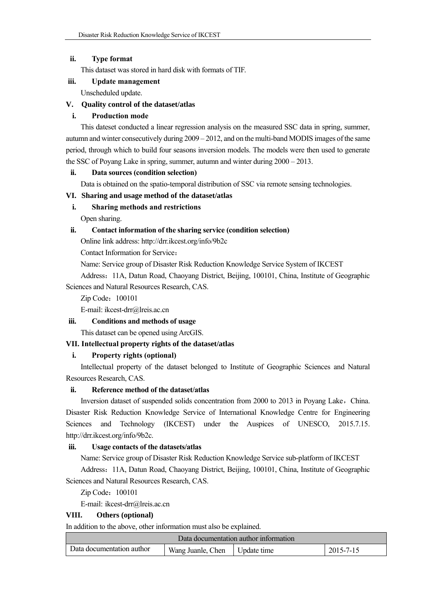## **ii. Type format**

This dataset was stored in hard disk with formats of TIF.

## **iii. Update management**

Unscheduled update.

## **V. Quality control of the dataset/atlas**

## **i. Production mode**

This dateset conducted a linear regression analysis on the measured SSC data in spring, summer, autumn and winter consecutively during 2009 – 2012, and on the multi-band MODIS images of the same period, through which to build four seasons inversion models. The models were then used to generate the SSC of Poyang Lake in spring, summer, autumn and winter during 2000 – 2013.

### **ii. Data sources (condition selection)**

Data is obtained on the spatio-temporal distribution of SSC via remote sensing technologies.

## **VI. Sharing and usage method of the dataset/atlas**

# **i. Sharing methods and restrictions**

Open sharing.

## **ii. Contact information of the sharing service (condition selection)**

Online link address: http://drr.ikcest.org/info/9b2c

Contact Information for Service:

Name: Service group of Disaster Risk Reduction Knowledge Service System of IKCEST

Address: 11A, Datun Road, Chaoyang District, Beijing, 100101, China, Institute of Geographic Sciences and Natural Resources Research, CAS.

Zip Code:100101

E-mail: ikcest-drr@lreis.ac.cn

# **iii. Conditions and methods of usage**

This dataset can be opened using ArcGIS.

# **VII. Intellectual property rights of the dataset/atlas**

# **i. Property rights (optional)**

Intellectual property of the dataset belonged to Institute of Geographic Sciences and Natural Resources Research, CAS.

### **ii. Reference method of the dataset/atlas**

Inversion dataset of suspended solids concentration from 2000 to 2013 in Poyang Lake, China. Disaster Risk Reduction Knowledge Service of International Knowledge Centre for Engineering Sciences and Technology (IKCEST) under the Auspices of UNESCO, 2015.7.15. http://drr.ikcest.org/info/9b2c.

### **iii. Usage contacts of the datasets/atlas**

Name: Service group of Disaster Risk Reduction Knowledge Service sub-platform of IKCEST

Address:11A, Datun Road, Chaoyang District, Beijing, 100101, China, Institute of Geographic Sciences and Natural Resources Research, CAS.

Zip Code: 100101

E-mail: ikcest-drr@lreis.ac.cn

### **VIII. Others (optional)**

In addition to the above, other information must also be explained.

| Data documentation author information |                                 |  |           |  |  |  |  |
|---------------------------------------|---------------------------------|--|-----------|--|--|--|--|
| Data documentation author             | Wang Juanle, Chen   Update time |  | 2015-7-15 |  |  |  |  |